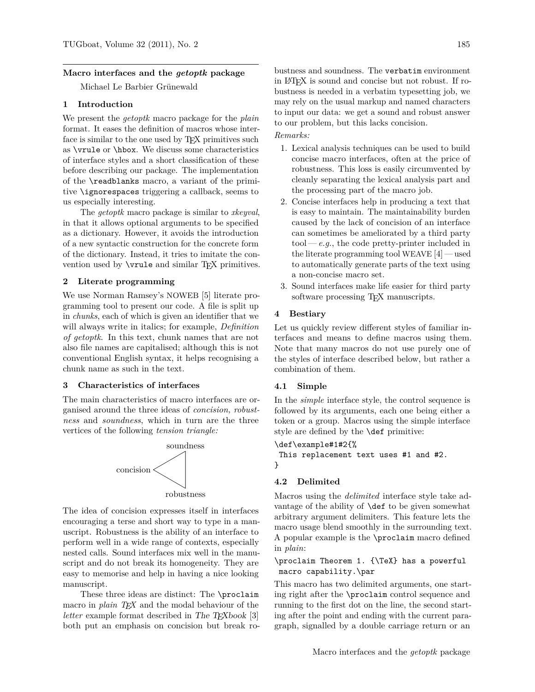### **Macro interfaces and the** *getoptk* **package**

Michael Le Barbier Grünewald

# **1 Introduction**

We present the *getoptk* macro package for the *plain* format. It eases the definition of macros whose interface is similar to the one used by T<sub>E</sub>X primitives such as \vrule or \hbox. We discuss some characteristics of interface styles and a short classification of these before describing our package. The implementation of the \readblanks macro, a variant of the primitive \ignorespaces triggering a callback, seems to us especially interesting.

The *getoptk* macro package is similar to *xkeyval*, in that it allows optional arguments to be specified as a dictionary. However, it avoids the introduction of a new syntactic construction for the concrete form of the dictionary. Instead, it tries to imitate the convention used by  $\varphi$  and similar T<sub>EX</sub> primitives.

#### **2 Literate programming**

We use Norman Ramsey's NOWEB [\[5\]](#page-7-0) literate programming tool to present our code. A file is split up in *chunks*, each of which is given an identifier that we will always write in italics; for example, *Definition of getoptk*. In this text, chunk names that are not also file names are capitalised; although this is not conventional English syntax, it helps recognising a chunk name as such in the text.

#### **3 Characteristics of interfaces**

The main characteristics of macro interfaces are organised around the three ideas of *concision, robustness* and *soundness*, which in turn are the three vertices of the following *tension triangle:*



The idea of concision expresses itself in interfaces encouraging a terse and short way to type in a manuscript. Robustness is the ability of an interface to perform well in a wide range of contexts, especially nested calls. Sound interfaces mix well in the manuscript and do not break its homogeneity. They are easy to memorise and help in having a nice looking manuscript.

These three ideas are distinct: The \proclaim macro in *plain TEX* and the modal behaviour of the *letter* example format described in The T<sub>E</sub>Xbook [\[3\]](#page-7-0) both put an emphasis on concision but break robustness and soundness. The verbatim environment in LATEX is sound and concise but not robust. If robustness is needed in a verbatim typesetting job, we may rely on the usual markup and named characters to input our data: we get a sound and robust answer to our problem, but this lacks concision.

# *Remarks:*

- 1. Lexical analysis techniques can be used to build concise macro interfaces, often at the price of robustness. This loss is easily circumvented by cleanly separating the lexical analysis part and the processing part of the macro job.
- 2. Concise interfaces help in producing a text that is easy to maintain. The maintainability burden caused by the lack of concision of an interface can sometimes be ameliorated by a third party  $\text{tool} - e.g.,$  the code pretty-printer included in the literate programming tool WEAVE [\[4\]](#page-7-0) — used to automatically generate parts of the text using a non-concise macro set.
- 3. Sound interfaces make life easier for third party software processing T<sub>EX</sub> manuscripts.

#### **4 Bestiary**

Let us quickly review different styles of familiar interfaces and means to define macros using them. Note that many macros do not use purely one of the styles of interface described below, but rather a combination of them.

#### **4.1 Simple**

In the *simple* interface style, the control sequence is followed by its arguments, each one being either a token or a group. Macros using the simple interface style are defined by the \def primitive:

#### \def\example#1#2{%

This replacement text uses #1 and #2. }

### **4.2 Delimited**

Macros using the *delimited* interface style take advantage of the ability of \def to be given somewhat arbitrary argument delimiters. This feature lets the macro usage blend smoothly in the surrounding text. A popular example is the \proclaim macro defined in *plain*:

# \proclaim Theorem 1. {\TeX} has a powerful macro capability.\par

This macro has two delimited arguments, one starting right after the \proclaim control sequence and running to the first dot on the line, the second starting after the point and ending with the current paragraph, signalled by a double carriage return or an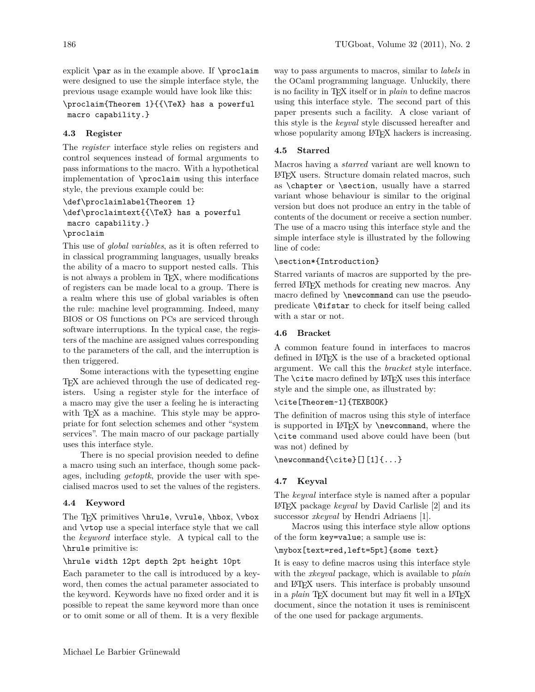explicit \par as in the example above. If \proclaim were designed to use the simple interface style, the previous usage example would have look like this:

\proclaim{Theorem 1}{{\TeX} has a powerful macro capability.}

# **4.3 Register**

The *register* interface style relies on registers and control sequences instead of formal arguments to pass informations to the macro. With a hypothetical implementation of \proclaim using this interface style, the previous example could be:

```
\def\proclaimlabel{Theorem 1}
\def\proclaimtext{{\TeX} has a powerful
macro capability.}
\proclaim
```
# This use of *global variables*, as it is often referred to in classical programming languages, usually breaks the ability of a macro to support nested calls. This is not always a problem in TEX, where modifications of registers can be made local to a group. There is a realm where this use of global variables is often the rule: machine level programming. Indeed, many BIOS or OS functions on PCs are serviced through software interruptions. In the typical case, the registers of the machine are assigned values corresponding to the parameters of the call, and the interruption is then triggered.

Some interactions with the typesetting engine TEX are achieved through the use of dedicated registers. Using a register style for the interface of a macro may give the user a feeling he is interacting with TEX as a machine. This style may be appropriate for font selection schemes and other "system services". The main macro of our package partially uses this interface style.

There is no special provision needed to define a macro using such an interface, though some packages, including *getoptk*, provide the user with specialised macros used to set the values of the registers.

# **4.4 Keyword**

The TEX primitives \hrule, \vrule, \hbox, \vbox and \vtop use a special interface style that we call the *keyword* interface style. A typical call to the \hrule primitive is:

# \hrule width 12pt depth 2pt height 10pt

Each parameter to the call is introduced by a keyword, then comes the actual parameter associated to the keyword. Keywords have no fixed order and it is possible to repeat the same keyword more than once or to omit some or all of them. It is a very flexible

way to pass arguments to macros, similar to *labels* in the OCaml programming language. Unluckily, there is no facility in TEX itself or in *plain* to define macros using this interface style. The second part of this paper presents such a facility. A close variant of this style is the *keyval* style discussed hereafter and whose popularity among LAT<sub>EX</sub> hackers is increasing.

# **4.5 Starred**

Macros having a *starred* variant are well known to LATEX users. Structure domain related macros, such as \chapter or \section, usually have a starred variant whose behaviour is similar to the original version but does not produce an entry in the table of contents of the document or receive a section number. The use of a macro using this interface style and the simple interface style is illustrated by the following line of code:

# \section\*{Introduction}

Starred variants of macros are supported by the preferred LATEX methods for creating new macros. Any macro defined by \newcommand can use the pseudopredicate \@ifstar to check for itself being called with a star or not.

# **4.6 Bracket**

A common feature found in interfaces to macros defined in LAT<sub>EX</sub> is the use of a bracketed optional argument. We call this the *bracket* style interface. The **\cite** macro defined by LAT<sub>E</sub>X uses this interface style and the simple one, as illustrated by:

# \cite[Theorem~1]{TEXBOOK}

The definition of macros using this style of interface is supported in L<sup>AT</sup>EX by **\newcommand**, where the \cite command used above could have been (but was not) defined by

# $\newcommand{\cite}[1]_{1}...$

# **4.7 Keyval**

The *keyval* interface style is named after a popular LATEX package *keyval* by David Carlisle [\[2\]](#page-7-0) and its successor *xkeyval* by Hendri Adriaens [\[1\]](#page-7-0).

Macros using this interface style allow options of the form key=value; a sample use is:

### \mybox[text=red,left=5pt]{some text}

It is easy to define macros using this interface style with the *xkeyval* package, which is available to *plain* and LATEX users. This interface is probably unsound in a *plain* T<sub>E</sub>X document but may fit well in a LAT<sub>E</sub>X document, since the notation it uses is reminiscent of the one used for package arguments.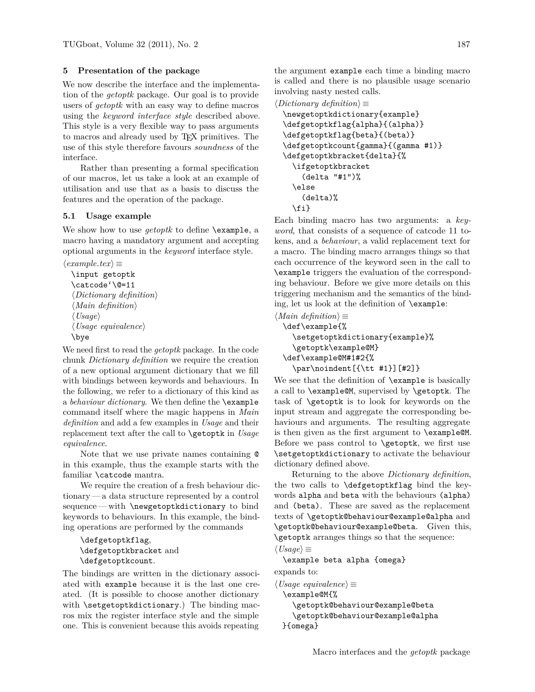# <span id="page-2-0"></span>**5 Presentation of the package**

We now describe the interface and the implementation of the *getoptk* package. Our goal is to provide users of *getoptk* with an easy way to define macros using the *keyword interface style* described above. This style is a very flexible way to pass arguments to macros and already used by TEX primitives. The use of this style therefore favours *soundness* of the interface.

Rather than presenting a formal specification of our macros, let us take a look at an example of utilisation and use that as a basis to discuss the features and the operation of the package.

# **5.1 Usage example**

We show how to use *getoptk* to define \example, a macro having a mandatory argument and accepting optional arguments in the *keyword* interface style.

```
\langle example.text \rangle \equiv
```

```
\input getoptk
\catcode'\@=11
\langle Dictionary\ definition \rangle\langle Main\ definition \rangle\langle\textit{Usage}\rangle\langle Usage~equivalence \rangle\bye
```
We need first to read the *getoptk* package. In the code chunk *Dictionary definition* we require the creation of a new optional argument dictionary that we fill with bindings between keywords and behaviours. In the following, we refer to a dictionary of this kind as a *behaviour dictionary*. We then define the \example command itself where the magic happens in *Main definition* and add a few examples in *Usage* and their replacement text after the call to \getoptk in *Usage equivalence*.

Note that we use private names containing @ in this example, thus the example starts with the familiar \catcode mantra.

We require the creation of a fresh behaviour dictionary— a data structure represented by a control sequence— with \newgetoptkdictionary to bind keywords to behaviours. In this example, the binding operations are performed by the commands

```
\defgetoptkflag,
\defgetoptkbracket and
\defgetoptkcount.
```
The bindings are written in the dictionary associated with example because it is the last one created. (It is possible to choose another dictionary with \setgetoptkdictionary.) The binding macros mix the register interface style and the simple one. This is convenient because this avoids repeating the argument example each time a binding macro is called and there is no plausible usage scenario involving nasty nested calls.

 $\langle Dictionary \ definition \rangle \equiv$ 

```
\newgetoptkdictionary{example}
\defgetoptkflag{alpha}{(alpha)}
\defgetoptkflag{beta}{(beta)}
\defgetoptkcount{gamma}{(gamma #1)}
\defgetoptkbracket{delta}{%
  \ifgetoptkbracket
    (delta "#1")%
  \else
    (delta)%
  \fi}
```
Each binding macro has two arguments: a *keyword*, that consists of a sequence of catcode 11 tokens, and a *behaviour*, a valid replacement text for a macro. The binding macro arranges things so that each occurrence of the keyword seen in the call to \example triggers the evaluation of the corresponding behaviour. Before we give more details on this triggering mechanism and the semantics of the binding, let us look at the definition of \example:

```
\langle Main\ definition \rangle \equiv\def\example{%
    \setgetoptkdictionary{example}%
    \getoptk\example@M}
  \def\example@M#1#2{%
    \par\noindent[{\tt #1}][#2]}
```
We see that the definition of **\example** is basically a call to \example@M, supervised by \getoptk. The task of \getoptk is to look for keywords on the input stream and aggregate the corresponding behaviours and arguments. The resulting aggregate is then given as the first argument to \example@M. Before we pass control to \getoptk, we first use \setgetoptkdictionary to activate the behaviour dictionary defined above.

Returning to the above *Dictionary definition*, the two calls to \defgetoptkflag bind the keywords alpha and beta with the behaviours (alpha) and (beta). These are saved as the replacement texts of \getoptk@behaviour@example@alpha and \getoptk@behaviour@example@beta. Given this, \getoptk arranges things so that the sequence:  $\langle Usage\rangle \equiv$ 

\example beta alpha {omega}

expands to:

```
hUsage equivalencei ≡
 \example@M{%
    \getoptk@behaviour@example@beta
    \getoptk@behaviour@example@alpha
 }{omega}
```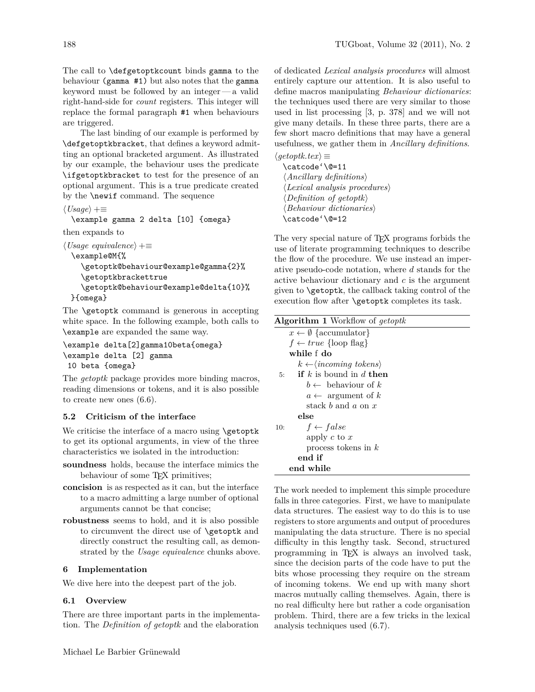<span id="page-3-0"></span>The call to \defgetoptkcount binds gamma to the behaviour (gamma #1) but also notes that the gamma keyword must be followed by an integer— a valid right-hand-side for *count* registers. This integer will replace the formal paragraph #1 when behaviours are triggered.

The last binding of our example is performed by \defgetoptkbracket, that defines a keyword admitting an optional bracketed argument. As illustrated by our example, the behaviour uses the predicate \ifgetoptkbracket to test for the presence of an optional argument. This is a true predicate created by the \newif command. The sequence

 $\langle Usage\rangle + \equiv$ 

\example gamma 2 delta [10] {omega}

then expands to

```
\langle Usage\ equivalence\rangle + \equiv\example@M{%
    \getoptk@behaviour@example@gamma{2}%
    \getoptkbrackettrue
    \getoptk@behaviour@example@delta{10}%
 }{omega}
```
The **\getoptk** command is generous in accepting white space. In the following example, both calls to \example are expanded the same way.

```
\example delta[2]gamma10beta{omega}
\example delta [2] gamma
10 beta {omega}
```
The *getoptk* package provides more binding macros, reading dimensions or tokens, and it is also possible to create new ones [\(6.6\)](#page-5-0).

# **5.2 Criticism of the interface**

We criticise the interface of a macro using \getoptk to get its optional arguments, in view of the three characteristics we isolated in the introduction:

- **soundness** holds, because the interface mimics the behaviour of some TEX primitives;
- **concision** is as respected as it can, but the interface to a macro admitting a large number of optional arguments cannot be that concise;
- **robustness** seems to hold, and it is also possible to circumvent the direct use of \getoptk and directly construct the resulting call, as demonstrated by the *Usage equivalence* chunks above.

#### **6 Implementation**

We dive here into the deepest part of the job.

# **6.1 Overview**

There are three important parts in the implementation. The *Definition of getoptk* and the elaboration of dedicated *Lexical analysis procedures* will almost entirely capture our attention. It is also useful to define macros manipulating *Behaviour dictionaries*: the techniques used there are very similar to those used in list processing [\[3,](#page-7-0) p. 378] and we will not give many details. In these three parts, there are a few short macro definitions that may have a general usefulness, we gather them in *Ancillary definitions*.

 $\langle getoptk.tex\rangle \equiv$ \catcode'\@=11  $\langle$ *Ancillary definitions* $\rangle$  $\langle Lexical\ analysis\ procedures \rangle$  $\langle Definition \ of \ getoptk \rangle$ h*Behaviour dictionaries*i \catcode'\@=12

The very special nature of TEX programs forbids the use of literate programming techniques to describe the flow of the procedure. We use instead an imperative pseudo-code notation, where *d* stands for the active behaviour dictionary and *c* is the argument given to \getoptk, the callback taking control of the execution flow after \getoptk completes its task.

| <b>Algorithm 1</b> Workflow of getoptk           |
|--------------------------------------------------|
| $x \leftarrow \emptyset$ {accumulator}           |
| $f \leftarrow true \{loop flag\}$                |
| while f do                                       |
| $k \leftarrow \langle incoming \ tokens \rangle$ |
| 5: if k is bound in d then                       |
| $b \leftarrow$ behaviour of k                    |
| $a \leftarrow$ argument of k                     |
| stack b and a on $x$                             |
| else                                             |
| $f \leftarrow false$<br>10:                      |
| apply $c$ to $x$                                 |
| process tokens in $k$                            |
| end if                                           |
| end while                                        |

The work needed to implement this simple procedure falls in three categories. First, we have to manipulate data structures. The easiest way to do this is to use registers to store arguments and output of procedures manipulating the data structure. There is no special difficulty in this lengthy task. Second, structured programming in T<sub>E</sub>X is always an involved task, since the decision parts of the code have to put the bits whose processing they require on the stream of incoming tokens. We end up with many short macros mutually calling themselves. Again, there is no real difficulty here but rather a code organisation problem. Third, there are a few tricks in the lexical analysis techniques used [\(6.7\)](#page-6-0).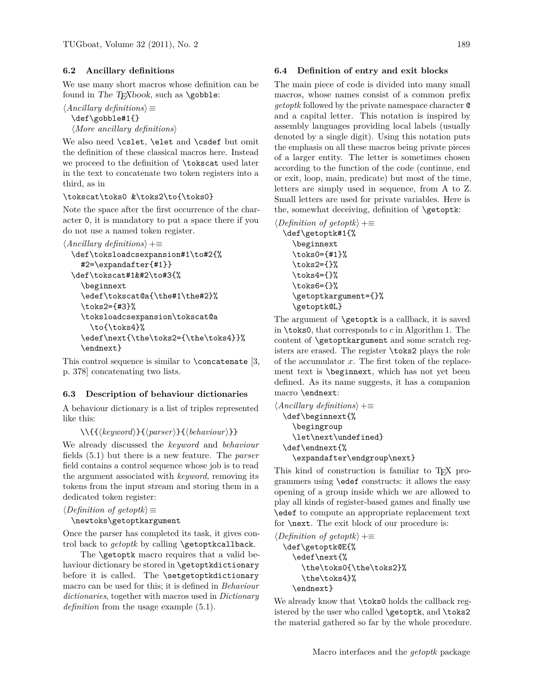### **6.2 Ancillary definitions**

We use many short macros whose definition can be found in The T<sub>E</sub>Xbook, such as  $\geq$ boble:

```
\langle Ancillary\ definition s \rangle \equiv\def\gobble#1{}
   \langle More\ ancillary\ definitions \rangle
```
We also need \cslet, \elet and \csdef but omit the definition of these classical macros here. Instead we proceed to the definition of \tokscat used later in the text to concatenate two token registers into a third, as in

# \tokscat\toks0 &\toks2\to{\toks0}

Note the space after the first occurrence of the character 0, it is mandatory to put a space there if you do not use a named token register.

```
\langle\text{Ancillary definitions}\rangle + \equiv\def\toksloadcsexpansion#1\to#2{%
    #2=\expandafter{#1}}
  \def\tokscat#1&#2\to#3{%
    \beginnext
    \edef\tokscat@a{\the#1\the#2}%
    \toks2={#3}%
    \toksloadcsexpansion\tokscat@a
      \to{\toks4}%
    \edef\next{\the\toks2={\the\toks4}}%
    \endnext}
```
This control sequence is similar to  $\cong$  Concatenate [\[3,](#page-7-0) p. 378] concatenating two lists.

# **6.3 Description of behaviour dictionaries**

A behaviour dictionary is a list of triples represented like this:

```
\\{{hkeywordi}{hparseri}{hbehaviouri}}
```
We already discussed the *keyword* and *behaviour* fields [\(5.1\)](#page-2-0) but there is a new feature. The *parser* field contains a control sequence whose job is to read the argument associated with *keyword,* removing its tokens from the input stream and storing them in a dedicated token register:

```
\langle Definition \ of \ getoptk \rangle \equiv
```

```
\newtoks\getoptkargument
```
Once the parser has completed its task, it gives control back to *getoptk* by calling **\getoptkcallback**.

The **\getoptk** macro requires that a valid behaviour dictionary be stored in \getoptkdictionary before it is called. The \setgetoptkdictionary macro can be used for this; it is defined in *Behaviour dictionaries*, together with macros used in *Dictionary definition* from the usage example [\(5.1\)](#page-2-0).

### **6.4 Definition of entry and exit blocks**

The main piece of code is divided into many small macros, whose names consist of a common prefix *getoptk* followed by the private namespace character @ and a capital letter. This notation is inspired by assembly languages providing local labels (usually denoted by a single digit). Using this notation puts the emphasis on all these macros being private pieces of a larger entity. The letter is sometimes chosen according to the function of the code (continue, end or exit, loop, main, predicate) but most of the time, letters are simply used in sequence, from A to Z. Small letters are used for private variables. Here is the, somewhat deceiving, definition of \getoptk:

```
\langle Definition \ of \ get \ the \ \rangle + \equiv\def\getoptk#1{%
     \beginnext
     \toks0={#1}%
     \toks2={}%
     \toks4={}%
     \toks6={}%
     \getoptkargument={}%
     \getoptk@L}
```
The argument of \getoptk is a callback, it is saved in \toks0, that corresponds to *c* in Algorithm [1.](#page-3-0) The content of \getoptkargument and some scratch registers are erased. The register \toks2 plays the role of the accumulator *x*. The first token of the replacement text is \beginnext, which has not yet been defined. As its name suggests, it has a companion macro \endnext:

```
\langle Ancillary\ definitions \rangle + \equiv\def\beginnext{%
    \begingroup
    \let\next\undefined}
  \def\endnext{%
    \expandafter\endgroup\next}
```
This kind of construction is familiar to T<sub>E</sub>X programmers using \edef constructs: it allows the easy opening of a group inside which we are allowed to play all kinds of register-based games and finally use \edef to compute an appropriate replacement text for \next. The exit block of our procedure is:

```
\langle Definition \ of \ getoptk \rangle + \equiv\def\getoptk@E{%
     \edef\next{%
       \the\toks0{\the\toks2}%
       \the\toks4}%
     \endnext}
```
We already know that **\toks0** holds the callback registered by the user who called \getoptk, and \toks2 the material gathered so far by the whole procedure.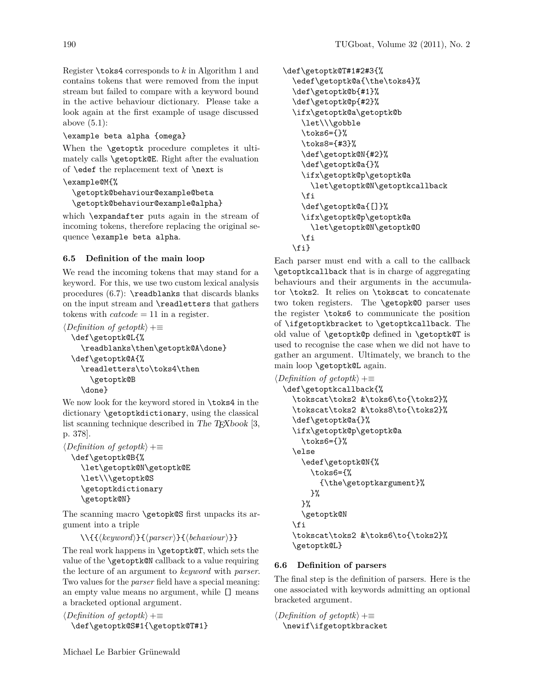<span id="page-5-0"></span>Register \toks4 corresponds to *k* in Algorithm [1](#page-3-0) and contains tokens that were removed from the input stream but failed to compare with a keyword bound in the active behaviour dictionary. Please take a look again at the first example of usage discussed above  $(5.1)$ :

# \example beta alpha {omega}

When the **\getoptk** procedure completes it ultimately calls \getoptk@E. Right after the evaluation of \edef the replacement text of \next is

# \example@M{%

\getoptk@behaviour@example@beta \getoptk@behaviour@example@alpha}

which \expandafter puts again in the stream of incoming tokens, therefore replacing the original sequence \example beta alpha.

# **6.5 Definition of the main loop**

We read the incoming tokens that may stand for a keyword. For this, we use two custom lexical analysis procedures  $(6.7)$ : \readblanks that discards blanks on the input stream and \readletters that gathers tokens with *catcode* = 11 in a register.

```
\langle Definition \ of \ getoptk \rangle + \equiv\def\getoptk@L{%
    \readblanks\then\getoptk@A\done}
  \def\getoptk@A{%
    \readletters\to\toks4\then
       \getoptk@B
    \done}
```
We now look for the keyword stored in \toks4 in the dictionary \getoptkdictionary, using the classical list scanning technique described in The T $\bar{F}X$ book [\[3,](#page-7-0) p. 378].

```
\langle Definition \ of \ getoptk \rangle + \equiv\def\getoptk@B{%
    \let\getoptk@N\getoptk@E
     \let\\\getoptk@S
     \getoptkdictionary
     \getoptk@N}
```
The scanning macro \getopk@S first unpacks its argument into a triple

```
\{\langle keyword \rangle\}{\langle parser \rangle}\{\langle behavior \rangle\}\}
```
The real work happens in \getoptk@T, which sets the value of the \getoptk@N callback to a value requiring the lecture of an argument to *keyword* with *parser*. Two values for the *parser* field have a special meaning: an empty value means no argument, while [] means a bracketed optional argument.

```
\langle Definition \ of \ getoptk \rangle + \equiv
```
\def\getoptk@S#1{\getoptk@T#1}

```
\def\getoptk@T#1#2#3{%
  \edef\getoptk@a{\the\toks4}%
  \def\getoptk@b{#1}%
  \def\getoptk@p{#2}%
  \ifx\getoptk@a\getoptk@b
    \let\\\gobble
    \toks6={}%
    \toks8={#3}%
    \def\getoptk@N{#2}%
    \def\getoptk@a{}%
    \ifx\getoptk@p\getoptk@a
      \let\getoptk@N\getoptkcallback
    \fi
    \def\getoptk@a{[]}%
    \ifx\getoptk@p\getoptk@a
      \let\getoptk@N\getoptk@O
    \fi
  \fi}
```
Each parser must end with a call to the callback \getoptkcallback that is in charge of aggregating behaviours and their arguments in the accumulator \toks2. It relies on \tokscat to concatenate two token registers. The \getopk@O parser uses the register \toks6 to communicate the position of \ifgetoptkbracket to \getoptkcallback. The old value of \getoptk@p defined in \getoptk@T is used to recognise the case when we did not have to gather an argument. Ultimately, we branch to the main loop \getoptk@L again.

```
\langle Definition \ of \ get optk \rangle + \equiv\def\getoptkcallback{%
    \tokscat\toks2 &\toks6\to{\toks2}%
    \tokscat\toks2 &\toks8\to{\toks2}%
    \def\getoptk@a{}%
    \ifx\getoptk@p\getoptk@a
      \toks6={}%
    \else
      \edef\getoptk@N{%
        \toks6={%
           {\the\getoptkargument}%
        }%
      }%
      \getoptk@N
    \fi
    \tokscat\toks2 &\toks6\to{\toks2}%
    \getoptk@L}
```
# **6.6 Definition of parsers**

The final step is the definition of parsers. Here is the one associated with keywords admitting an optional bracketed argument.

```
\langle Definition \ of \ get optk \rangle + \equiv\newif\ifgetoptkbracket
```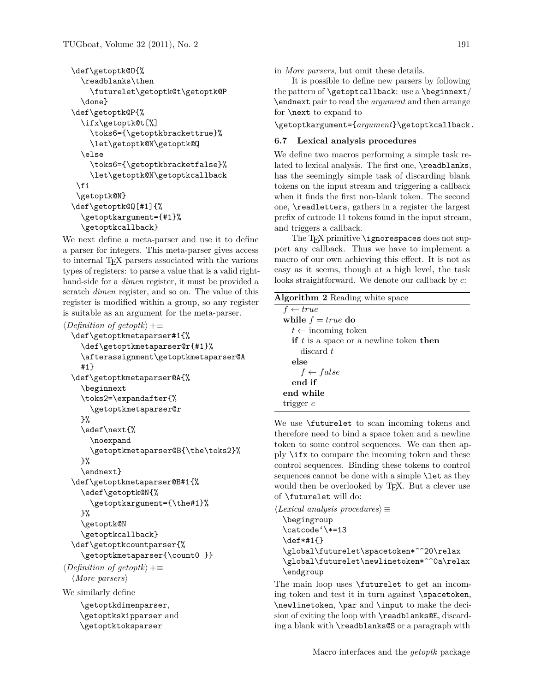```
\def\getoptk@O{%
  \readblanks\then
    \futurelet\getoptk@t\getoptk@P
  \done}
\def\getoptk@P{%
 \ifx\getoptk@t[%]
    \toks6={\getoptkbrackettrue}%
    \let\getoptk@N\getoptk@Q
  \else
    \toks6={\getoptkbracketfalse}%
    \let\getoptk@N\getoptkcallback
 \int f\getoptk@N}
\def\getoptk@Q[#1]{%
  \getoptkargument={#1}%
  \getoptkcallback}
```
We next define a meta-parser and use it to define a parser for integers. This meta-parser gives access to internal TEX parsers associated with the various types of registers: to parse a value that is a valid righthand-side for a *dimen* register, it must be provided a scratch *dimen* register, and so on. The value of this register is modified within a group, so any register is suitable as an argument for the meta-parser.

```
\langle Definition \ of \ get optk \rangle + \equiv\def\getoptkmetaparser#1{%
    \def\getoptkmetaparser@r{#1}%
    \afterassignment\getoptkmetaparser@A
    #1}
  \def\getoptkmetaparser@A{%
    \beginnext
    \toks2=\expandafter{%
      \getoptkmetaparser@r
    }%
    \edef\next{%
      \noexpand
      \getoptkmetaparser@B{\the\toks2}%
    }%
    \endnext}
  \def\getoptkmetaparser@B#1{%
    \edef\getoptk@N{%
      \getoptkargument={\the#1}%
    }%
    \getoptk@N
    \getoptkcallback}
```

```
\def\getoptkcountparser{%
     \getoptkmetaparser{\count0 }}
\langle Definition \ of \ getoptk \rangle + \equiv\langle More~parsers \rangle
```
We similarly define

```
\getoptkdimenparser,
\getoptkskipparser and
\getoptktoksparser
```
in *More parsers*, but omit these details.

It is possible to define new parsers by following the pattern of \getoptcallback: use a \beginnext/ \endnext pair to read the *argument* and then arrange for \next to expand to

\getoptkargument={*argument*}\getoptkcallback.

### **6.7 Lexical analysis procedures**

We define two macros performing a simple task related to lexical analysis. The first one, \readblanks, has the seemingly simple task of discarding blank tokens on the input stream and triggering a callback when it finds the first non-blank token. The second one, \readletters, gathers in a register the largest prefix of catcode 11 tokens found in the input stream, and triggers a callback.

The T<sub>E</sub>X primitive \ignorespaces does not support any callback. Thus we have to implement a macro of our own achieving this effect. It is not as easy as it seems, though at a high level, the task looks straightforward. We denote our callback by *c*:

| <b>Algorithm 2</b> Reading white space    |
|-------------------------------------------|
| $f \leftarrow true$                       |
| while $f = true$ do                       |
| $t \leftarrow$ incoming token             |
| if $t$ is a space or a newline token then |
| discard t                                 |
| else                                      |
| $f \leftarrow false$                      |
| end if                                    |
| end while                                 |
| trigger $c$                               |
|                                           |

We use \futurelet to scan incoming tokens and therefore need to bind a space token and a newline token to some control sequences. We can then apply \ifx to compare the incoming token and these control sequences. Binding these tokens to control sequences cannot be done with a simple **\let** as they would then be overlooked by T<sub>E</sub>X. But a clever use of \futurelet will do:

```
\langle Lexical\ analysis\ procedures \rangle \equiv\begingroup
  \catcode'\*=13
  \def*#1{}
  \global\futurelet\spacetoken*^^20\relax
  \global\futurelet\newlinetoken*^^0a\relax
  \endgroup
```
The main loop uses \futurelet to get an incoming token and test it in turn against \spacetoken, \newlinetoken, \par and \input to make the decision of exiting the loop with \readblanks@E, discarding a blank with \readblanks@S or a paragraph with